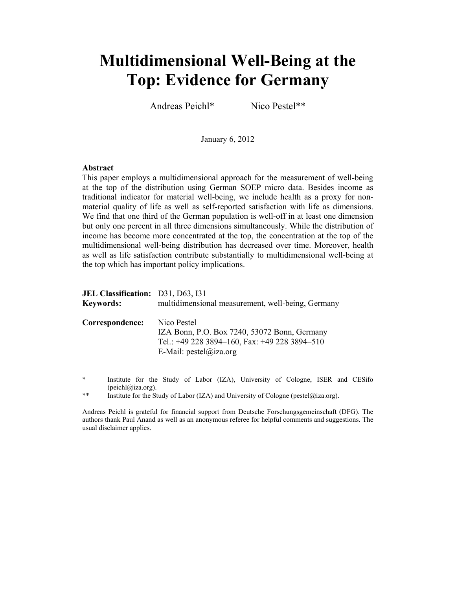# **Multidimensional Well-Being at the Top: Evidence for Germany**

Andreas Peichl<sup>\*</sup> Nico Pestel<sup>\*\*</sup>

January 6, 2012

#### **Abstract**

This paper employs a multidimensional approach for the measurement of well-being at the top of the distribution using German SOEP micro data. Besides income as traditional indicator for material well-being, we include health as a proxy for nonmaterial quality of life as well as self-reported satisfaction with life as dimensions. We find that one third of the German population is well-off in at least one dimension but only one percent in all three dimensions simultaneously. While the distribution of income has become more concentrated at the top, the concentration at the top of the multidimensional well-being distribution has decreased over time. Moreover, health as well as life satisfaction contribute substantially to multidimensional well-being at the top which has important policy implications.

| <b>JEL Classification:</b> D31, D63, I31<br><b>Keywords:</b> | multidimensional measurement, well-being, Germany                                                                                      |
|--------------------------------------------------------------|----------------------------------------------------------------------------------------------------------------------------------------|
| Correspondence:                                              | Nico Pestel<br>IZA Bonn, P.O. Box 7240, 53072 Bonn, Germany<br>Tel.: +49 228 3894-160, Fax: +49 228 3894-510<br>E-Mail: pestel@iza.org |

\* Institute for the Study of Labor (IZA), University of Cologne, ISER and CESifo (peichl@iza.org).

\*\* Institute for the Study of Labor (IZA) and University of Cologne (pestel@iza.org).

Andreas Peichl is grateful for financial support from Deutsche Forschungsgemeinschaft (DFG). The authors thank Paul Anand as well as an anonymous referee for helpful comments and suggestions. The usual disclaimer applies.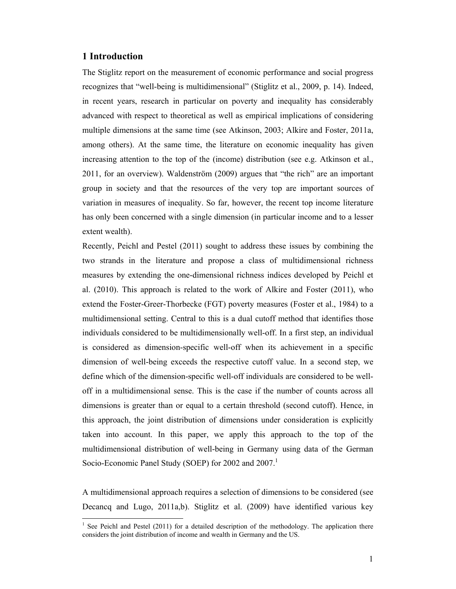### **1 Introduction**

 $\overline{a}$ 

The Stiglitz report on the measurement of economic performance and social progress recognizes that "well-being is multidimensional" (Stiglitz et al., 2009, p. 14). Indeed, in recent years, research in particular on poverty and inequality has considerably advanced with respect to theoretical as well as empirical implications of considering multiple dimensions at the same time (see Atkinson, 2003; Alkire and Foster, 2011a, among others). At the same time, the literature on economic inequality has given increasing attention to the top of the (income) distribution (see e.g. Atkinson et al., 2011, for an overview). Waldenström (2009) argues that "the rich" are an important group in society and that the resources of the very top are important sources of variation in measures of inequality. So far, however, the recent top income literature has only been concerned with a single dimension (in particular income and to a lesser extent wealth).

Recently, Peichl and Pestel (2011) sought to address these issues by combining the two strands in the literature and propose a class of multidimensional richness measures by extending the one-dimensional richness indices developed by Peichl et al. (2010). This approach is related to the work of Alkire and Foster (2011), who extend the Foster-Greer-Thorbecke (FGT) poverty measures (Foster et al., 1984) to a multidimensional setting. Central to this is a dual cutoff method that identifies those individuals considered to be multidimensionally well-off. In a first step, an individual is considered as dimension-specific well-off when its achievement in a specific dimension of well-being exceeds the respective cutoff value. In a second step, we define which of the dimension-specific well-off individuals are considered to be welloff in a multidimensional sense. This is the case if the number of counts across all dimensions is greater than or equal to a certain threshold (second cutoff). Hence, in this approach, the joint distribution of dimensions under consideration is explicitly taken into account. In this paper, we apply this approach to the top of the multidimensional distribution of well-being in Germany using data of the German Socio-Economic Panel Study (SOEP) for 2002 and 2007.<sup>1</sup>

A multidimensional approach requires a selection of dimensions to be considered (see Decancq and Lugo, 2011a,b). Stiglitz et al. (2009) have identified various key

<sup>&</sup>lt;sup>1</sup> See Peichl and Pestel (2011) for a detailed description of the methodology. The application there considers the joint distribution of income and wealth in Germany and the US.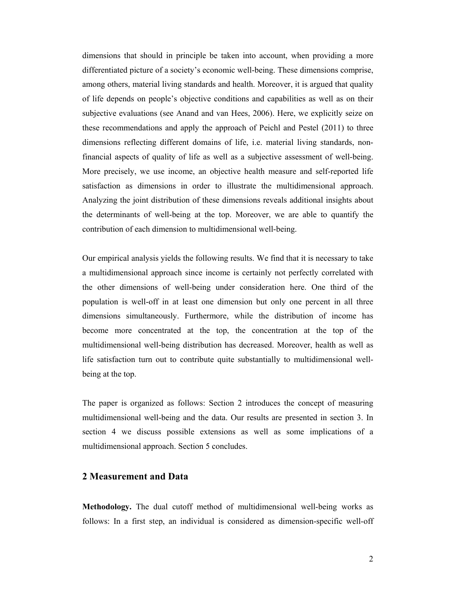dimensions that should in principle be taken into account, when providing a more differentiated picture of a society's economic well-being. These dimensions comprise, among others, material living standards and health. Moreover, it is argued that quality of life depends on people's objective conditions and capabilities as well as on their subjective evaluations (see Anand and van Hees, 2006). Here, we explicitly seize on these recommendations and apply the approach of Peichl and Pestel (2011) to three dimensions reflecting different domains of life, i.e. material living standards, nonfinancial aspects of quality of life as well as a subjective assessment of well-being. More precisely, we use income, an objective health measure and self-reported life satisfaction as dimensions in order to illustrate the multidimensional approach. Analyzing the joint distribution of these dimensions reveals additional insights about the determinants of well-being at the top. Moreover, we are able to quantify the contribution of each dimension to multidimensional well-being.

Our empirical analysis yields the following results. We find that it is necessary to take a multidimensional approach since income is certainly not perfectly correlated with the other dimensions of well-being under consideration here. One third of the population is well-off in at least one dimension but only one percent in all three dimensions simultaneously. Furthermore, while the distribution of income has become more concentrated at the top, the concentration at the top of the multidimensional well-being distribution has decreased. Moreover, health as well as life satisfaction turn out to contribute quite substantially to multidimensional wellbeing at the top.

The paper is organized as follows: Section 2 introduces the concept of measuring multidimensional well-being and the data. Our results are presented in section 3. In section 4 we discuss possible extensions as well as some implications of a multidimensional approach. Section 5 concludes.

## **2 Measurement and Data**

**Methodology.** The dual cutoff method of multidimensional well-being works as follows: In a first step, an individual is considered as dimension-specific well-off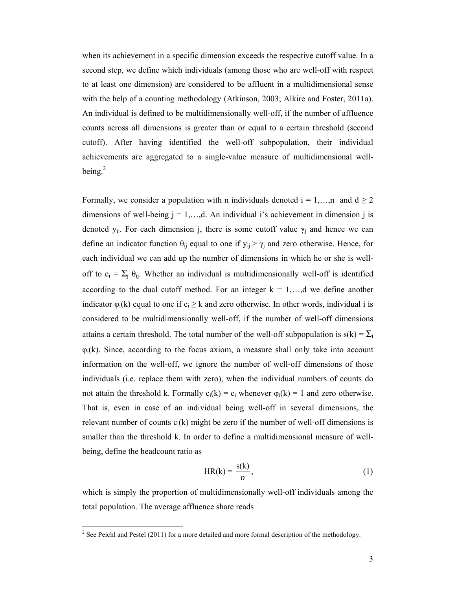when its achievement in a specific dimension exceeds the respective cutoff value. In a second step, we define which individuals (among those who are well-off with respect to at least one dimension) are considered to be affluent in a multidimensional sense with the help of a counting methodology (Atkinson, 2003; Alkire and Foster, 2011a). An individual is defined to be multidimensionally well-off, if the number of affluence counts across all dimensions is greater than or equal to a certain threshold (second cutoff). After having identified the well-off subpopulation, their individual achievements are aggregated to a single-value measure of multidimensional wellbeing. $^{2}$ 

Formally, we consider a population with n individuals denoted  $i = 1,...,n$  and  $d \ge 2$ dimensions of well-being  $j = 1, \ldots, d$ . An individual i's achievement in dimension j is denoted  $y_{ij}$ . For each dimension j, there is some cutoff value  $\gamma_i$  and hence we can define an indicator function  $\theta_{ij}$  equal to one if  $y_{ij} > \gamma_j$  and zero otherwise. Hence, for each individual we can add up the number of dimensions in which he or she is welloff to  $c_i = \sum_i \theta_{ij}$ . Whether an individual is multidimensionally well-off is identified according to the dual cutoff method. For an integer  $k = 1, \ldots, d$  we define another indicator  $\varphi_i(k)$  equal to one if  $c_i \geq k$  and zero otherwise. In other words, individual i is considered to be multidimensionally well-off, if the number of well-off dimensions attains a certain threshold. The total number of the well-off subpopulation is  $s(k) = \sum_i$  $\varphi_i(k)$ . Since, according to the focus axiom, a measure shall only take into account information on the well-off, we ignore the number of well-off dimensions of those individuals (i.e. replace them with zero), when the individual numbers of counts do not attain the threshold k. Formally  $c_i(k) = c_i$  whenever  $\varphi_i(k) = 1$  and zero otherwise. That is, even in case of an individual being well-off in several dimensions, the relevant number of counts  $c_i(k)$  might be zero if the number of well-off dimensions is smaller than the threshold k. In order to define a multidimensional measure of wellbeing, define the headcount ratio as

$$
HR(k) = \frac{s(k)}{n},\tag{1}
$$

which is simply the proportion of multidimensionally well-off individuals among the total population. The average affluence share reads

<sup>&</sup>lt;sup>2</sup> See Peichl and Pestel (2011) for a more detailed and more formal description of the methodology.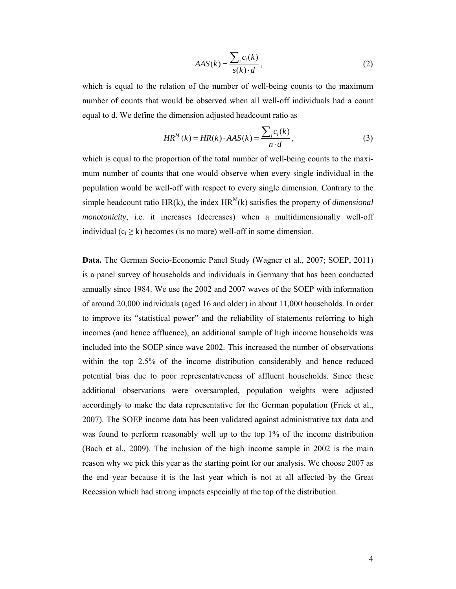$$
AAS(k) = \frac{\sum_{i} c_i(k)}{s(k) \cdot d},\tag{2}
$$

which is equal to the relation of the number of well-being counts to the maximum number of counts that would be observed when all well-off individuals had a count equal to d. We define the dimension adjusted headcount ratio as

$$
HR^{M}(k) = HR(k) \cdot AAS(k) = \frac{\sum_{i} c_{i}(k)}{n \cdot d},
$$
\n(3)

which is equal to the proportion of the total number of well-being counts to the maximum number of counts that one would observe when every single individual in the population would be well-off with respect to every single dimension. Contrary to the simple headcount ratio HR(k), the index  $HR<sup>M</sup>(k)$  satisfies the property of *dimensional monotonicity*, i.e. it increases (decreases) when a multidimensionally well-off individual (c<sub>i</sub>  $\geq$  k) becomes (is no more) well-off in some dimension.

**Data.** The German Socio-Economic Panel Study (Wagner et al., 2007; SOEP, 2011) is a panel survey of households and individuals in Germany that has been conducted annually since 1984. We use the 2002 and 2007 waves of the SOEP with information of around 20,000 individuals (aged 16 and older) in about 11,000 households. In order to improve its "statistical power" and the reliability of statements referring to high incomes (and hence affluence), an additional sample of high income households was included into the SOEP since wave 2002. This increased the number of observations within the top 2.5% of the income distribution considerably and hence reduced potential bias due to poor representativeness of affluent households. Since these additional observations were oversampled, population weights were adjusted accordingly to make the data representative for the German population (Frick et al., 2007). The SOEP income data has been validated against administrative tax data and was found to perform reasonably well up to the top 1% of the income distribution (Bach et al., 2009). The inclusion of the high income sample in 2002 is the main reason why we pick this year as the starting point for our analysis. We choose 2007 as the end year because it is the last year which is not at all affected by the Great Recession which had strong impacts especially at the top of the distribution.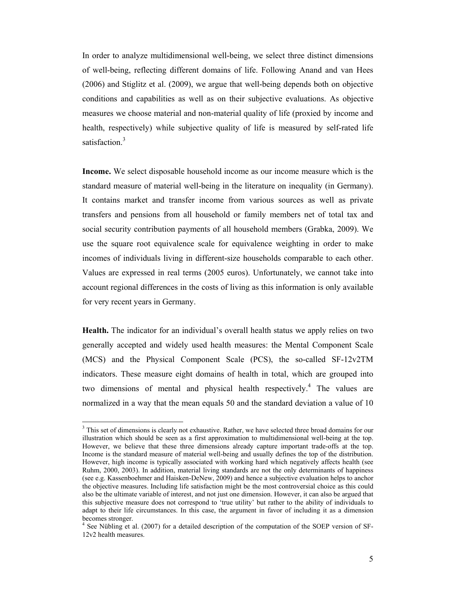In order to analyze multidimensional well-being, we select three distinct dimensions of well-being, reflecting different domains of life. Following Anand and van Hees (2006) and Stiglitz et al. (2009), we argue that well-being depends both on objective conditions and capabilities as well as on their subjective evaluations. As objective measures we choose material and non-material quality of life (proxied by income and health, respectively) while subjective quality of life is measured by self-rated life satisfaction.<sup>3</sup>

**Income.** We select disposable household income as our income measure which is the standard measure of material well-being in the literature on inequality (in Germany). It contains market and transfer income from various sources as well as private transfers and pensions from all household or family members net of total tax and social security contribution payments of all household members (Grabka, 2009). We use the square root equivalence scale for equivalence weighting in order to make incomes of individuals living in different-size households comparable to each other. Values are expressed in real terms (2005 euros). Unfortunately, we cannot take into account regional differences in the costs of living as this information is only available for very recent years in Germany.

**Health.** The indicator for an individual's overall health status we apply relies on two generally accepted and widely used health measures: the Mental Component Scale (MCS) and the Physical Component Scale (PCS), the so-called SF-12v2TM indicators. These measure eight domains of health in total, which are grouped into two dimensions of mental and physical health respectively.<sup>4</sup> The values are normalized in a way that the mean equals 50 and the standard deviation a value of 10

<sup>&</sup>lt;sup>3</sup> This set of dimensions is clearly not exhaustive. Rather, we have selected three broad domains for our illustration which should be seen as a first approximation to multidimensional well-being at the top. However, we believe that these three dimensions already capture important trade-offs at the top. Income is the standard measure of material well-being and usually defines the top of the distribution. However, high income is typically associated with working hard which negatively affects health (see Ruhm, 2000, 2003). In addition, material living standards are not the only determinants of happiness (see e.g. Kassenboehmer and Haisken-DeNew, 2009) and hence a subjective evaluation helps to anchor the objective measures. Including life satisfaction might be the most controversial choice as this could also be the ultimate variable of interest, and not just one dimension. However, it can also be argued that this subjective measure does not correspond to 'true utility' but rather to the ability of individuals to adapt to their life circumstances. In this case, the argument in favor of including it as a dimension becomes stronger.

<sup>&</sup>lt;sup>4</sup> See Nübling et al. (2007) for a detailed description of the computation of the SOEP version of SF-12v2 health measures.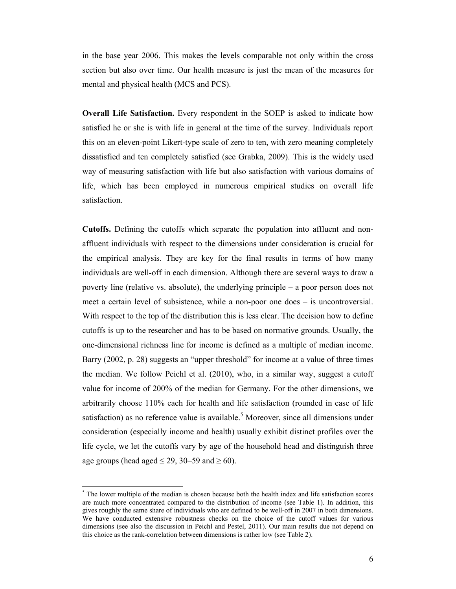in the base year 2006. This makes the levels comparable not only within the cross section but also over time. Our health measure is just the mean of the measures for mental and physical health (MCS and PCS).

**Overall Life Satisfaction.** Every respondent in the SOEP is asked to indicate how satisfied he or she is with life in general at the time of the survey. Individuals report this on an eleven-point Likert-type scale of zero to ten, with zero meaning completely dissatisfied and ten completely satisfied (see Grabka, 2009). This is the widely used way of measuring satisfaction with life but also satisfaction with various domains of life, which has been employed in numerous empirical studies on overall life satisfaction.

**Cutoffs.** Defining the cutoffs which separate the population into affluent and nonaffluent individuals with respect to the dimensions under consideration is crucial for the empirical analysis. They are key for the final results in terms of how many individuals are well-off in each dimension. Although there are several ways to draw a poverty line (relative vs. absolute), the underlying principle – a poor person does not meet a certain level of subsistence, while a non-poor one does – is uncontroversial. With respect to the top of the distribution this is less clear. The decision how to define cutoffs is up to the researcher and has to be based on normative grounds. Usually, the one-dimensional richness line for income is defined as a multiple of median income. Barry (2002, p. 28) suggests an "upper threshold" for income at a value of three times the median. We follow Peichl et al. (2010), who, in a similar way, suggest a cutoff value for income of 200% of the median for Germany. For the other dimensions, we arbitrarily choose 110% each for health and life satisfaction (rounded in case of life satisfaction) as no reference value is available.<sup>5</sup> Moreover, since all dimensions under consideration (especially income and health) usually exhibit distinct profiles over the life cycle, we let the cutoffs vary by age of the household head and distinguish three age groups (head aged  $\leq$  29, 30–59 and  $\geq$  60).

 $<sup>5</sup>$  The lower multiple of the median is chosen because both the health index and life satisfaction scores</sup> are much more concentrated compared to the distribution of income (see Table 1). In addition, this gives roughly the same share of individuals who are defined to be well-off in 2007 in both dimensions. We have conducted extensive robustness checks on the choice of the cutoff values for various dimensions (see also the discussion in Peichl and Pestel, 2011). Our main results due not depend on this choice as the rank-correlation between dimensions is rather low (see Table 2).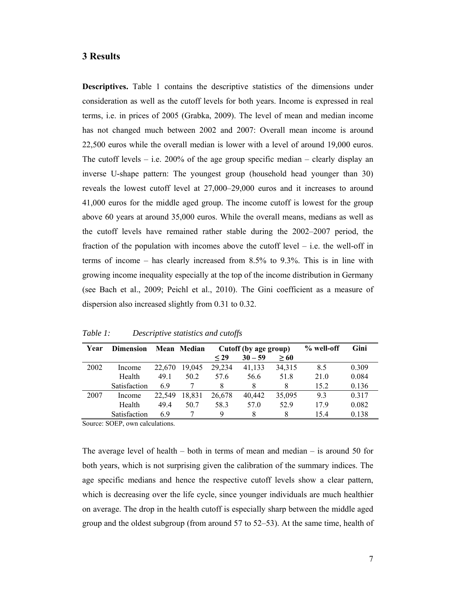#### **3 Results**

**Descriptives.** Table 1 contains the descriptive statistics of the dimensions under consideration as well as the cutoff levels for both years. Income is expressed in real terms, i.e. in prices of 2005 (Grabka, 2009). The level of mean and median income has not changed much between 2002 and 2007: Overall mean income is around 22,500 euros while the overall median is lower with a level of around 19,000 euros. The cutoff levels  $-$  i.e. 200% of the age group specific median  $-$  clearly display an inverse U-shape pattern: The youngest group (household head younger than 30) reveals the lowest cutoff level at 27,000–29,000 euros and it increases to around 41,000 euros for the middle aged group. The income cutoff is lowest for the group above 60 years at around 35,000 euros. While the overall means, medians as well as the cutoff levels have remained rather stable during the 2002–2007 period, the fraction of the population with incomes above the cutoff level – i.e. the well-off in terms of income – has clearly increased from 8.5% to 9.3%. This is in line with growing income inequality especially at the top of the income distribution in Germany (see Bach et al., 2009; Peichl et al., 2010). The Gini coefficient as a measure of dispersion also increased slightly from 0.31 to 0.32.

| Year | <b>Dimension</b> |        | Mean Median | Cutoff (by age group) |           |        | % well-off | Gini  |
|------|------------------|--------|-------------|-----------------------|-----------|--------|------------|-------|
|      |                  |        |             | $\leq$ 29             | $30 - 59$ | >60    |            |       |
| 2002 | Income           | 22,670 | 19,045      | 29,234                | 41,133    | 34,315 | 8.5        | 0.309 |
|      | Health           | 49.1   | 50.2        | 57.6                  | 56.6      | 51.8   | 21.0       | 0.084 |
|      | Satisfaction     | 6.9    |             | 8                     | 8         | 8      | 15.2       | 0.136 |
| 2007 | Income           | 22,549 | 18,831      | 26,678                | 40,442    | 35,095 | 9.3        | 0.317 |
|      | Health           | 49.4   | 50.7        | 58.3                  | 57.0      | 529    | 179        | 0.082 |
|      | Satisfaction     | 69     |             | 9                     | 8         |        | 154        | 0.138 |

*Table 1: Descriptive statistics and cutoffs* 

Source: SOEP, own calculations.

The average level of health – both in terms of mean and median – is around 50 for both years, which is not surprising given the calibration of the summary indices. The age specific medians and hence the respective cutoff levels show a clear pattern, which is decreasing over the life cycle, since younger individuals are much healthier on average. The drop in the health cutoff is especially sharp between the middle aged group and the oldest subgroup (from around 57 to 52–53). At the same time, health of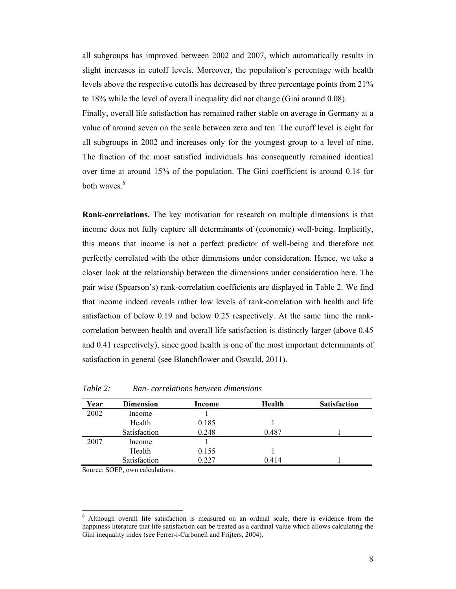all subgroups has improved between 2002 and 2007, which automatically results in slight increases in cutoff levels. Moreover, the population's percentage with health levels above the respective cutoffs has decreased by three percentage points from 21% to 18% while the level of overall inequality did not change (Gini around 0.08).

Finally, overall life satisfaction has remained rather stable on average in Germany at a value of around seven on the scale between zero and ten. The cutoff level is eight for all subgroups in 2002 and increases only for the youngest group to a level of nine. The fraction of the most satisfied individuals has consequently remained identical over time at around 15% of the population. The Gini coefficient is around 0.14 for both waves $6$ 

**Rank-correlations.** The key motivation for research on multiple dimensions is that income does not fully capture all determinants of (economic) well-being. Implicitly, this means that income is not a perfect predictor of well-being and therefore not perfectly correlated with the other dimensions under consideration. Hence, we take a closer look at the relationship between the dimensions under consideration here. The pair wise (Spearson's) rank-correlation coefficients are displayed in Table 2. We find that income indeed reveals rather low levels of rank-correlation with health and life satisfaction of below 0.19 and below 0.25 respectively. At the same time the rankcorrelation between health and overall life satisfaction is distinctly larger (above 0.45 and 0.41 respectively), since good health is one of the most important determinants of satisfaction in general (see Blanchflower and Oswald, 2011).

| Year | <b>Dimension</b> | Income | Health | <b>Satisfaction</b> |
|------|------------------|--------|--------|---------------------|
| 2002 | Income           |        |        |                     |
|      | Health           | 0.185  |        |                     |
|      | Satisfaction     | 0.248  | 0.487  |                     |
| 2007 | Income           |        |        |                     |
|      | Health           | 0.155  |        |                     |
|      | Satisfaction     | 0.227  | 0.414  |                     |

*Table 2: Ran- correlations between dimensions* 

Source: SOEP, own calculations.

<sup>6</sup> Although overall life satisfaction is measured on an ordinal scale, there is evidence from the happiness literature that life satisfaction can be treated as a cardinal value which allows calculating the Gini inequality index (see Ferrer-i-Carbonell and Frijters, 2004).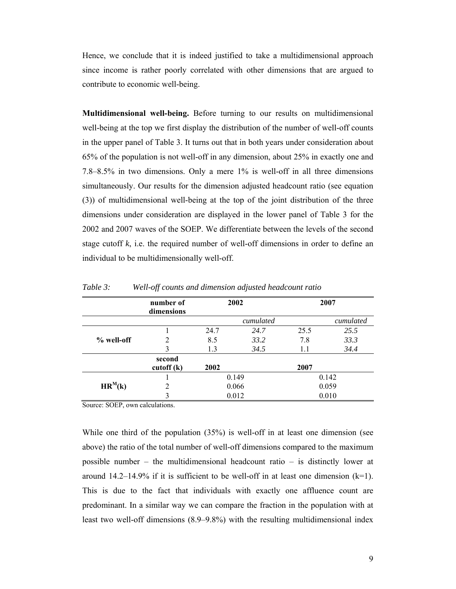Hence, we conclude that it is indeed justified to take a multidimensional approach since income is rather poorly correlated with other dimensions that are argued to contribute to economic well-being.

**Multidimensional well-being.** Before turning to our results on multidimensional well-being at the top we first display the distribution of the number of well-off counts in the upper panel of Table 3. It turns out that in both years under consideration about 65% of the population is not well-off in any dimension, about 25% in exactly one and 7.8–8.5% in two dimensions. Only a mere 1% is well-off in all three dimensions simultaneously. Our results for the dimension adjusted headcount ratio (see equation (3)) of multidimensional well-being at the top of the joint distribution of the three dimensions under consideration are displayed in the lower panel of Table 3 for the 2002 and 2007 waves of the SOEP. We differentiate between the levels of the second stage cutoff *k*, i.e. the required number of well-off dimensions in order to define an individual to be multidimensionally well-off.

|            | number of<br>dimensions               | 2002  |           | 2007  |           |  |
|------------|---------------------------------------|-------|-----------|-------|-----------|--|
|            |                                       |       | cumulated |       | cumulated |  |
|            |                                       | 24.7  | 24.7      | 25.5  | 25.5      |  |
| % well-off |                                       | 8.5   | 33.2      | 7.8   | 33.3      |  |
|            |                                       | 1.3   | 34.5      | 1.1   | 34.4      |  |
|            | second<br>$\text{cutoff}(\mathbf{k})$ | 2002  |           | 2007  |           |  |
|            |                                       | 0.149 |           | 0.142 |           |  |
| $HR^M(k)$  | 2                                     |       | 0.066     | 0.059 |           |  |
|            | ٦                                     |       | 0.012     | 0.010 |           |  |

*Table 3: Well-off counts and dimension adjusted headcount ratio* 

Source: SOEP, own calculations.

While one third of the population (35%) is well-off in at least one dimension (see above) the ratio of the total number of well-off dimensions compared to the maximum possible number – the multidimensional headcount ratio – is distinctly lower at around  $14.2-14.9\%$  if it is sufficient to be well-off in at least one dimension (k=1). This is due to the fact that individuals with exactly one affluence count are predominant. In a similar way we can compare the fraction in the population with at least two well-off dimensions (8.9–9.8%) with the resulting multidimensional index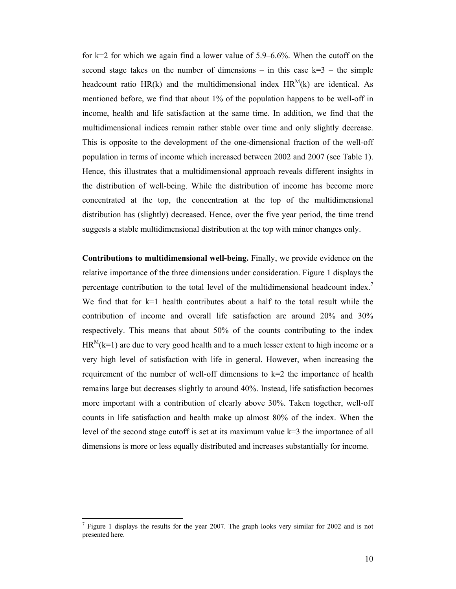for  $k=2$  for which we again find a lower value of 5.9–6.6%. When the cutoff on the second stage takes on the number of dimensions – in this case  $k=3$  – the simple headcount ratio HR(k) and the multidimensional index  $HR<sup>M</sup>(k)$  are identical. As mentioned before, we find that about 1% of the population happens to be well-off in income, health and life satisfaction at the same time. In addition, we find that the multidimensional indices remain rather stable over time and only slightly decrease. This is opposite to the development of the one-dimensional fraction of the well-off population in terms of income which increased between 2002 and 2007 (see Table 1). Hence, this illustrates that a multidimensional approach reveals different insights in the distribution of well-being. While the distribution of income has become more concentrated at the top, the concentration at the top of the multidimensional distribution has (slightly) decreased. Hence, over the five year period, the time trend suggests a stable multidimensional distribution at the top with minor changes only.

**Contributions to multidimensional well-being.** Finally, we provide evidence on the relative importance of the three dimensions under consideration. Figure 1 displays the percentage contribution to the total level of the multidimensional headcount index.<sup>7</sup> We find that for k=1 health contributes about a half to the total result while the contribution of income and overall life satisfaction are around 20% and 30% respectively. This means that about 50% of the counts contributing to the index  $HR<sup>M</sup>(k=1)$  are due to very good health and to a much lesser extent to high income or a very high level of satisfaction with life in general. However, when increasing the requirement of the number of well-off dimensions to k=2 the importance of health remains large but decreases slightly to around 40%. Instead, life satisfaction becomes more important with a contribution of clearly above 30%. Taken together, well-off counts in life satisfaction and health make up almost 80% of the index. When the level of the second stage cutoff is set at its maximum value k=3 the importance of all dimensions is more or less equally distributed and increases substantially for income.

<sup>&</sup>lt;sup>7</sup> Figure 1 displays the results for the year 2007. The graph looks very similar for 2002 and is not presented here.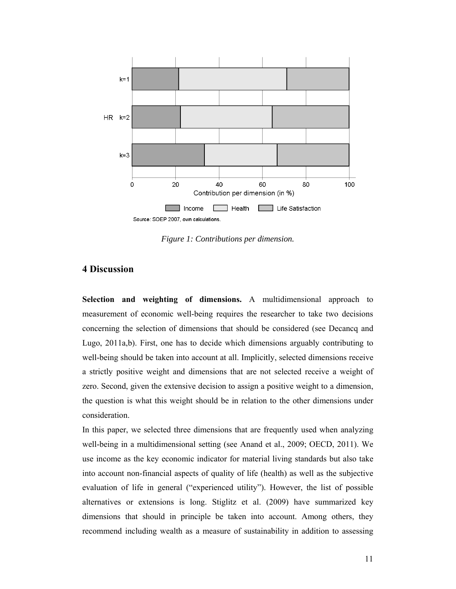

*Figure 1: Contributions per dimension.* 

## **4 Discussion**

**Selection and weighting of dimensions.** A multidimensional approach to measurement of economic well-being requires the researcher to take two decisions concerning the selection of dimensions that should be considered (see Decancq and Lugo, 2011a,b). First, one has to decide which dimensions arguably contributing to well-being should be taken into account at all. Implicitly, selected dimensions receive a strictly positive weight and dimensions that are not selected receive a weight of zero. Second, given the extensive decision to assign a positive weight to a dimension, the question is what this weight should be in relation to the other dimensions under consideration.

In this paper, we selected three dimensions that are frequently used when analyzing well-being in a multidimensional setting (see Anand et al., 2009; OECD, 2011). We use income as the key economic indicator for material living standards but also take into account non-financial aspects of quality of life (health) as well as the subjective evaluation of life in general ("experienced utility"). However, the list of possible alternatives or extensions is long. Stiglitz et al. (2009) have summarized key dimensions that should in principle be taken into account. Among others, they recommend including wealth as a measure of sustainability in addition to assessing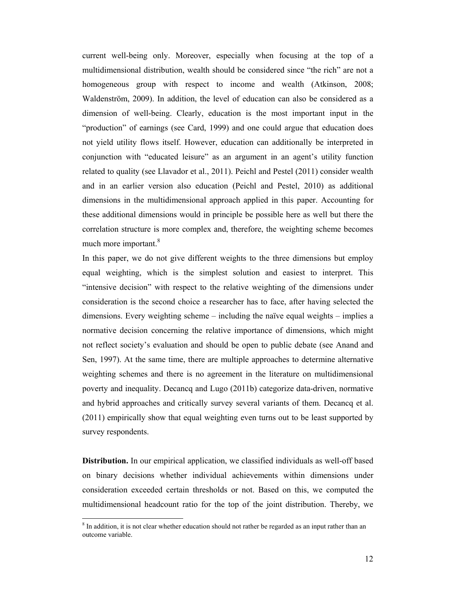current well-being only. Moreover, especially when focusing at the top of a multidimensional distribution, wealth should be considered since "the rich" are not a homogeneous group with respect to income and wealth (Atkinson, 2008; Waldenström, 2009). In addition, the level of education can also be considered as a dimension of well-being. Clearly, education is the most important input in the "production" of earnings (see Card, 1999) and one could argue that education does not yield utility flows itself. However, education can additionally be interpreted in conjunction with "educated leisure" as an argument in an agent's utility function related to quality (see Llavador et al., 2011). Peichl and Pestel (2011) consider wealth and in an earlier version also education (Peichl and Pestel, 2010) as additional dimensions in the multidimensional approach applied in this paper. Accounting for these additional dimensions would in principle be possible here as well but there the correlation structure is more complex and, therefore, the weighting scheme becomes much more important.<sup>8</sup>

In this paper, we do not give different weights to the three dimensions but employ equal weighting, which is the simplest solution and easiest to interpret. This "intensive decision" with respect to the relative weighting of the dimensions under consideration is the second choice a researcher has to face, after having selected the dimensions. Every weighting scheme – including the naïve equal weights – implies a normative decision concerning the relative importance of dimensions, which might not reflect society's evaluation and should be open to public debate (see Anand and Sen, 1997). At the same time, there are multiple approaches to determine alternative weighting schemes and there is no agreement in the literature on multidimensional poverty and inequality. Decancq and Lugo (2011b) categorize data-driven, normative and hybrid approaches and critically survey several variants of them. Decancq et al. (2011) empirically show that equal weighting even turns out to be least supported by survey respondents.

**Distribution.** In our empirical application, we classified individuals as well-off based on binary decisions whether individual achievements within dimensions under consideration exceeded certain thresholds or not. Based on this, we computed the multidimensional headcount ratio for the top of the joint distribution. Thereby, we

<sup>&</sup>lt;sup>8</sup> In addition, it is not clear whether education should not rather be regarded as an input rather than an outcome variable.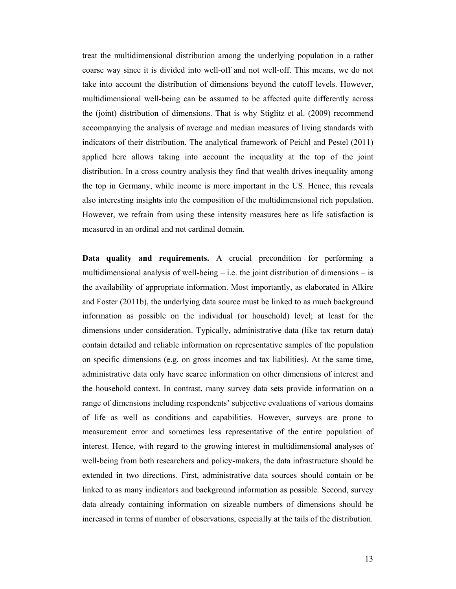treat the multidimensional distribution among the underlying population in a rather coarse way since it is divided into well-off and not well-off. This means, we do not take into account the distribution of dimensions beyond the cutoff levels. However, multidimensional well-being can be assumed to be affected quite differently across the (joint) distribution of dimensions. That is why Stiglitz et al. (2009) recommend accompanying the analysis of average and median measures of living standards with indicators of their distribution. The analytical framework of Peichl and Pestel (2011) applied here allows taking into account the inequality at the top of the joint distribution. In a cross country analysis they find that wealth drives inequality among the top in Germany, while income is more important in the US. Hence, this reveals also interesting insights into the composition of the multidimensional rich population. However, we refrain from using these intensity measures here as life satisfaction is measured in an ordinal and not cardinal domain.

**Data quality and requirements.** A crucial precondition for performing a multidimensional analysis of well-being  $-$  i.e. the joint distribution of dimensions  $-$  is the availability of appropriate information. Most importantly, as elaborated in Alkire and Foster (2011b), the underlying data source must be linked to as much background information as possible on the individual (or household) level; at least for the dimensions under consideration. Typically, administrative data (like tax return data) contain detailed and reliable information on representative samples of the population on specific dimensions (e.g. on gross incomes and tax liabilities). At the same time, administrative data only have scarce information on other dimensions of interest and the household context. In contrast, many survey data sets provide information on a range of dimensions including respondents' subjective evaluations of various domains of life as well as conditions and capabilities. However, surveys are prone to measurement error and sometimes less representative of the entire population of interest. Hence, with regard to the growing interest in multidimensional analyses of well-being from both researchers and policy-makers, the data infrastructure should be extended in two directions. First, administrative data sources should contain or be linked to as many indicators and background information as possible. Second, survey data already containing information on sizeable numbers of dimensions should be increased in terms of number of observations, especially at the tails of the distribution.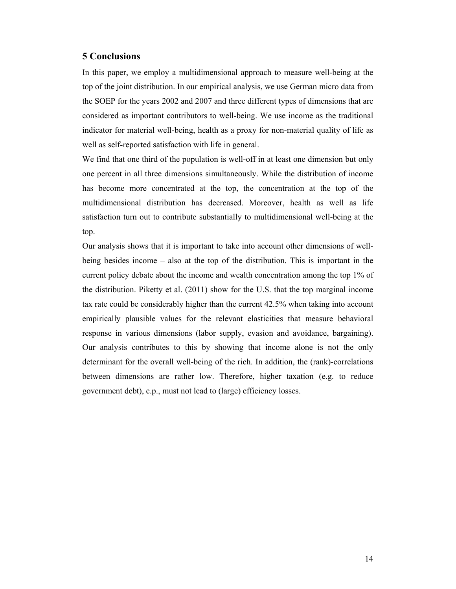#### **5 Conclusions**

In this paper, we employ a multidimensional approach to measure well-being at the top of the joint distribution. In our empirical analysis, we use German micro data from the SOEP for the years 2002 and 2007 and three different types of dimensions that are considered as important contributors to well-being. We use income as the traditional indicator for material well-being, health as a proxy for non-material quality of life as well as self-reported satisfaction with life in general.

We find that one third of the population is well-off in at least one dimension but only one percent in all three dimensions simultaneously. While the distribution of income has become more concentrated at the top, the concentration at the top of the multidimensional distribution has decreased. Moreover, health as well as life satisfaction turn out to contribute substantially to multidimensional well-being at the top.

Our analysis shows that it is important to take into account other dimensions of wellbeing besides income – also at the top of the distribution. This is important in the current policy debate about the income and wealth concentration among the top 1% of the distribution. Piketty et al. (2011) show for the U.S. that the top marginal income tax rate could be considerably higher than the current 42.5% when taking into account empirically plausible values for the relevant elasticities that measure behavioral response in various dimensions (labor supply, evasion and avoidance, bargaining). Our analysis contributes to this by showing that income alone is not the only determinant for the overall well-being of the rich. In addition, the (rank)-correlations between dimensions are rather low. Therefore, higher taxation (e.g. to reduce government debt), c.p., must not lead to (large) efficiency losses.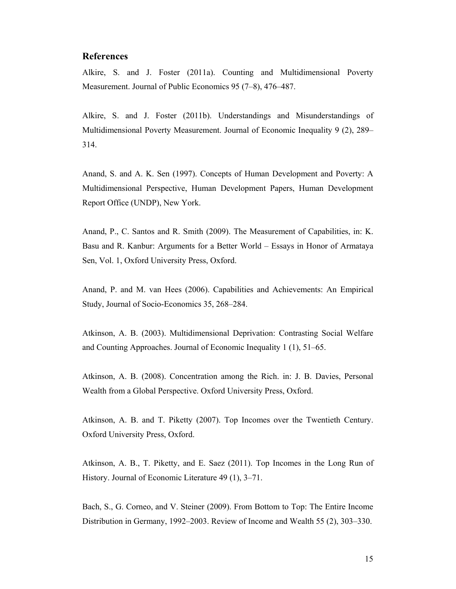#### **References**

Alkire, S. and J. Foster (2011a). Counting and Multidimensional Poverty Measurement. Journal of Public Economics 95 (7–8), 476–487.

Alkire, S. and J. Foster (2011b). Understandings and Misunderstandings of Multidimensional Poverty Measurement. Journal of Economic Inequality 9 (2), 289– 314.

Anand, S. and A. K. Sen (1997). Concepts of Human Development and Poverty: A Multidimensional Perspective, Human Development Papers, Human Development Report Office (UNDP), New York.

Anand, P., C. Santos and R. Smith (2009). The Measurement of Capabilities, in: K. Basu and R. Kanbur: Arguments for a Better World – Essays in Honor of Armataya Sen, Vol. 1, Oxford University Press, Oxford.

Anand, P. and M. van Hees (2006). Capabilities and Achievements: An Empirical Study, Journal of Socio-Economics 35, 268–284.

Atkinson, A. B. (2003). Multidimensional Deprivation: Contrasting Social Welfare and Counting Approaches. Journal of Economic Inequality 1 (1), 51–65.

Atkinson, A. B. (2008). Concentration among the Rich. in: J. B. Davies, Personal Wealth from a Global Perspective. Oxford University Press, Oxford.

Atkinson, A. B. and T. Piketty (2007). Top Incomes over the Twentieth Century. Oxford University Press, Oxford.

Atkinson, A. B., T. Piketty, and E. Saez (2011). Top Incomes in the Long Run of History. Journal of Economic Literature 49 (1), 3–71.

Bach, S., G. Corneo, and V. Steiner (2009). From Bottom to Top: The Entire Income Distribution in Germany, 1992–2003. Review of Income and Wealth 55 (2), 303–330.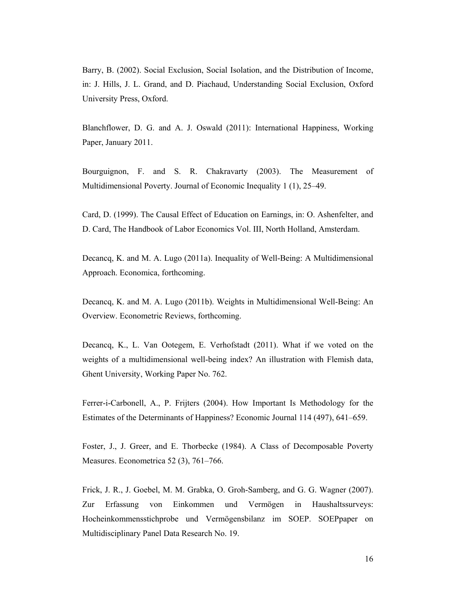Barry, B. (2002). Social Exclusion, Social Isolation, and the Distribution of Income, in: J. Hills, J. L. Grand, and D. Piachaud, Understanding Social Exclusion, Oxford University Press, Oxford.

Blanchflower, D. G. and A. J. Oswald (2011): International Happiness, Working Paper, January 2011.

Bourguignon, F. and S. R. Chakravarty (2003). The Measurement of Multidimensional Poverty. Journal of Economic Inequality 1 (1), 25–49.

Card, D. (1999). The Causal Effect of Education on Earnings, in: O. Ashenfelter, and D. Card, The Handbook of Labor Economics Vol. III, North Holland, Amsterdam.

Decancq, K. and M. A. Lugo (2011a). Inequality of Well-Being: A Multidimensional Approach. Economica, forthcoming.

Decancq, K. and M. A. Lugo (2011b). Weights in Multidimensional Well-Being: An Overview. Econometric Reviews, forthcoming.

Decancq, K., L. Van Ootegem, E. Verhofstadt (2011). What if we voted on the weights of a multidimensional well-being index? An illustration with Flemish data, Ghent University, Working Paper No. 762.

Ferrer-i-Carbonell, A., P. Frijters (2004). How Important Is Methodology for the Estimates of the Determinants of Happiness? Economic Journal 114 (497), 641–659.

Foster, J., J. Greer, and E. Thorbecke (1984). A Class of Decomposable Poverty Measures. Econometrica 52 (3), 761–766.

Frick, J. R., J. Goebel, M. M. Grabka, O. Groh-Samberg, and G. G. Wagner (2007). Zur Erfassung von Einkommen und Vermögen in Haushaltssurveys: Hocheinkommensstichprobe und Vermögensbilanz im SOEP. SOEPpaper on Multidisciplinary Panel Data Research No. 19.

16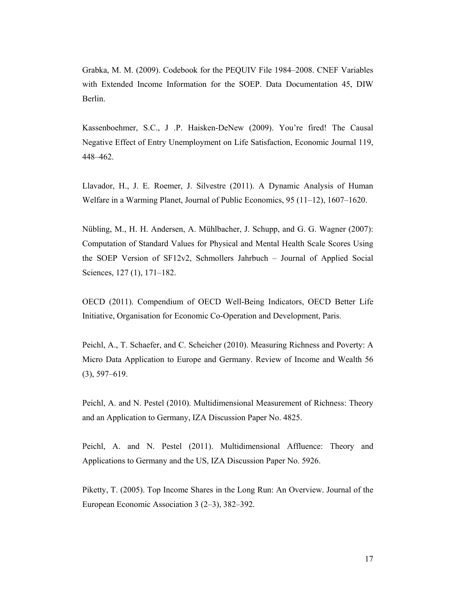Grabka, M. M. (2009). Codebook for the PEQUIV File 1984–2008. CNEF Variables with Extended Income Information for the SOEP. Data Documentation 45, DIW Berlin.

Kassenboehmer, S.C., J .P. Haisken-DeNew (2009). You're fired! The Causal Negative Effect of Entry Unemployment on Life Satisfaction, Economic Journal 119, 448–462.

Llavador, H., J. E. Roemer, J. Silvestre (2011). A Dynamic Analysis of Human Welfare in a Warming Planet, Journal of Public Economics, 95 (11–12), 1607–1620.

Nübling, M., H. H. Andersen, A. Mühlbacher, J. Schupp, and G. G. Wagner (2007): Computation of Standard Values for Physical and Mental Health Scale Scores Using the SOEP Version of SF12v2, Schmollers Jahrbuch – Journal of Applied Social Sciences, 127 (1), 171–182.

OECD (2011). Compendium of OECD Well-Being Indicators, OECD Better Life Initiative, Organisation for Economic Co-Operation and Development, Paris.

Peichl, A., T. Schaefer, and C. Scheicher (2010). Measuring Richness and Poverty: A Micro Data Application to Europe and Germany. Review of Income and Wealth 56 (3), 597–619.

Peichl, A. and N. Pestel (2010). Multidimensional Measurement of Richness: Theory and an Application to Germany, IZA Discussion Paper No. 4825.

Peichl, A. and N. Pestel (2011). Multidimensional Affluence: Theory and Applications to Germany and the US, IZA Discussion Paper No. 5926.

Piketty, T. (2005). Top Income Shares in the Long Run: An Overview. Journal of the European Economic Association 3 (2–3), 382–392.